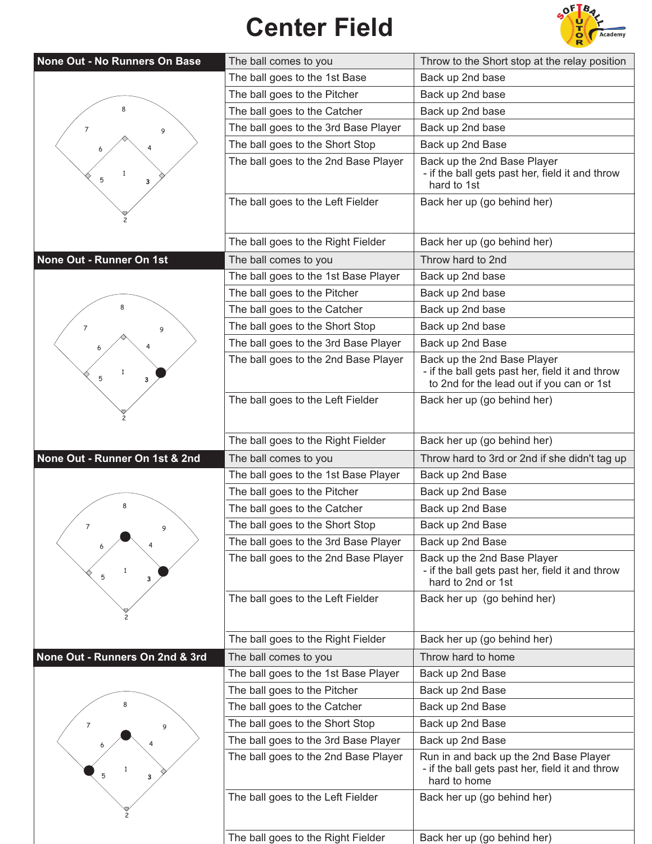## **Center Field**



| None Out - No Runners On Base   | The ball comes to you                | Throw to the Short stop at the relay position                                                                               |
|---------------------------------|--------------------------------------|-----------------------------------------------------------------------------------------------------------------------------|
|                                 | The ball goes to the 1st Base        | Back up 2nd base                                                                                                            |
|                                 | The ball goes to the Pitcher         | Back up 2nd base                                                                                                            |
| 8                               | The ball goes to the Catcher         | Back up 2nd base                                                                                                            |
| 7<br>9                          | The ball goes to the 3rd Base Player | Back up 2nd base                                                                                                            |
|                                 | The ball goes to the Short Stop      | Back up 2nd Base                                                                                                            |
| -1<br>5<br>з                    | The ball goes to the 2nd Base Player | Back up the 2nd Base Player<br>- if the ball gets past her, field it and throw<br>hard to 1st                               |
|                                 | The ball goes to the Left Fielder    | Back her up (go behind her)                                                                                                 |
|                                 | The ball goes to the Right Fielder   | Back her up (go behind her)                                                                                                 |
| None Out - Runner On 1st        | The ball comes to you                | Throw hard to 2nd                                                                                                           |
|                                 | The ball goes to the 1st Base Player | Back up 2nd base                                                                                                            |
|                                 | The ball goes to the Pitcher         | Back up 2nd base                                                                                                            |
|                                 | The ball goes to the Catcher         | Back up 2nd base                                                                                                            |
| 7<br>9                          | The ball goes to the Short Stop      | Back up 2nd base                                                                                                            |
|                                 | The ball goes to the 3rd Base Player | Back up 2nd Base                                                                                                            |
| 1<br>5<br>3                     | The ball goes to the 2nd Base Player | Back up the 2nd Base Player<br>- if the ball gets past her, field it and throw<br>to 2nd for the lead out if you can or 1st |
|                                 | The ball goes to the Left Fielder    | Back her up (go behind her)                                                                                                 |
|                                 | The ball goes to the Right Fielder   | Back her up (go behind her)                                                                                                 |
| None Out - Runner On 1st & 2nd  | The ball comes to you                | Throw hard to 3rd or 2nd if she didn't tag up                                                                               |
|                                 | The ball goes to the 1st Base Player | Back up 2nd Base                                                                                                            |
|                                 | The ball goes to the Pitcher         | Back up 2nd Base                                                                                                            |
|                                 | The ball goes to the Catcher         | Back up 2nd Base                                                                                                            |
| 7                               | The ball goes to the Short Stop      | Back up 2nd Base                                                                                                            |
|                                 |                                      | Back up 2nd Base                                                                                                            |
|                                 | The ball goes to the 3rd Base Player |                                                                                                                             |
| 5<br>3                          | The ball goes to the 2nd Base Player | Back up the 2nd Base Player<br>- if the ball gets past her, field it and throw<br>hard to 2nd or 1st                        |
|                                 | The ball goes to the Left Fielder    | Back her up (go behind her)                                                                                                 |
|                                 | The ball goes to the Right Fielder   | Back her up (go behind her)                                                                                                 |
| None Out - Runners On 2nd & 3rd | The ball comes to you                | Throw hard to home                                                                                                          |
|                                 | The ball goes to the 1st Base Player | Back up 2nd Base                                                                                                            |
|                                 | The ball goes to the Pitcher         | Back up 2nd Base                                                                                                            |
|                                 | The ball goes to the Catcher         | Back up 2nd Base                                                                                                            |
| 7<br>9                          | The ball goes to the Short Stop      | Back up 2nd Base                                                                                                            |
|                                 | The ball goes to the 3rd Base Player | Back up 2nd Base                                                                                                            |
| 5<br>3                          | The ball goes to the 2nd Base Player | Run in and back up the 2nd Base Player<br>- if the ball gets past her, field it and throw<br>hard to home                   |
|                                 | The ball goes to the Left Fielder    | Back her up (go behind her)                                                                                                 |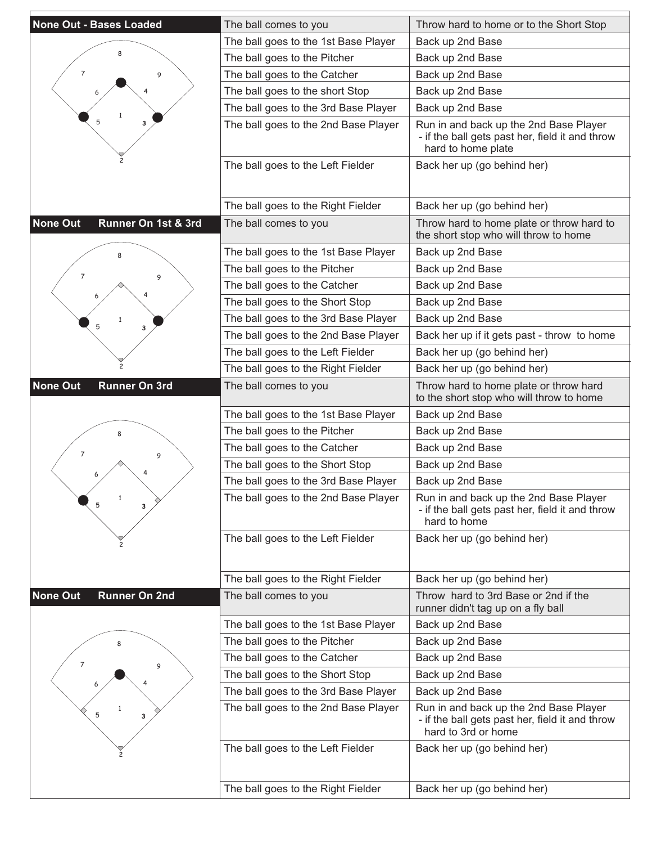| <b>None Out - Bases Loaded</b>          | The ball comes to you                | Throw hard to home or to the Short Stop                                                                          |
|-----------------------------------------|--------------------------------------|------------------------------------------------------------------------------------------------------------------|
|                                         | The ball goes to the 1st Base Player | Back up 2nd Base                                                                                                 |
|                                         | The ball goes to the Pitcher         | Back up 2nd Base                                                                                                 |
| $\overline{7}$<br>9                     | The ball goes to the Catcher         | Back up 2nd Base                                                                                                 |
|                                         | The ball goes to the short Stop      | Back up 2nd Base                                                                                                 |
|                                         | The ball goes to the 3rd Base Player | Back up 2nd Base                                                                                                 |
| 5<br>3                                  | The ball goes to the 2nd Base Player | Run in and back up the 2nd Base Player<br>- if the ball gets past her, field it and throw<br>hard to home plate  |
|                                         | The ball goes to the Left Fielder    | Back her up (go behind her)                                                                                      |
|                                         | The ball goes to the Right Fielder   | Back her up (go behind her)                                                                                      |
| <b>None Out</b><br>Runner On 1st & 3rd  | The ball comes to you                | Throw hard to home plate or throw hard to<br>the short stop who will throw to home                               |
|                                         | The ball goes to the 1st Base Player | Back up 2nd Base                                                                                                 |
| $\overline{7}$                          | The ball goes to the Pitcher         | Back up 2nd Base                                                                                                 |
| 9                                       | The ball goes to the Catcher         | Back up 2nd Base                                                                                                 |
|                                         | The ball goes to the Short Stop      | Back up 2nd Base                                                                                                 |
| 1<br>5                                  | The ball goes to the 3rd Base Player | Back up 2nd Base                                                                                                 |
| 3                                       | The ball goes to the 2nd Base Player | Back her up if it gets past - throw to home                                                                      |
|                                         | The ball goes to the Left Fielder    | Back her up (go behind her)                                                                                      |
|                                         | The ball goes to the Right Fielder   | Back her up (go behind her)                                                                                      |
| None Out<br><b>Runner On 3rd</b>        | The ball comes to you                | Throw hard to home plate or throw hard<br>to the short stop who will throw to home                               |
|                                         | The ball goes to the 1st Base Player | Back up 2nd Base                                                                                                 |
|                                         | The ball goes to the Pitcher         | Back up 2nd Base                                                                                                 |
| 7<br>9                                  | The ball goes to the Catcher         | Back up 2nd Base                                                                                                 |
|                                         | The ball goes to the Short Stop      | Back up 2nd Base                                                                                                 |
|                                         | The ball goes to the 3rd Base Player | Back up 2nd Base                                                                                                 |
| $\mathbf{1}$<br>5<br>3                  | The ball goes to the 2nd Base Player | Run in and back up the 2nd Base Player<br>- if the ball gets past her, field it and throw<br>hard to home        |
|                                         | The ball goes to the Left Fielder    | Back her up (go behind her)                                                                                      |
|                                         | The ball goes to the Right Fielder   | Back her up (go behind her)                                                                                      |
| <b>None Out</b><br><b>Runner On 2nd</b> | The ball comes to you                | Throw hard to 3rd Base or 2nd if the<br>runner didn't tag up on a fly ball                                       |
|                                         | The ball goes to the 1st Base Player | Back up 2nd Base                                                                                                 |
|                                         | The ball goes to the Pitcher         | Back up 2nd Base                                                                                                 |
| $\overline{\mathcal{I}}$<br>9           | The ball goes to the Catcher         | Back up 2nd Base                                                                                                 |
|                                         | The ball goes to the Short Stop      | Back up 2nd Base                                                                                                 |
|                                         | The ball goes to the 3rd Base Player | Back up 2nd Base                                                                                                 |
| 5<br>3                                  | The ball goes to the 2nd Base Player | Run in and back up the 2nd Base Player<br>- if the ball gets past her, field it and throw<br>hard to 3rd or home |
|                                         | The ball goes to the Left Fielder    | Back her up (go behind her)                                                                                      |
|                                         | The ball goes to the Right Fielder   | Back her up (go behind her)                                                                                      |
|                                         |                                      |                                                                                                                  |

E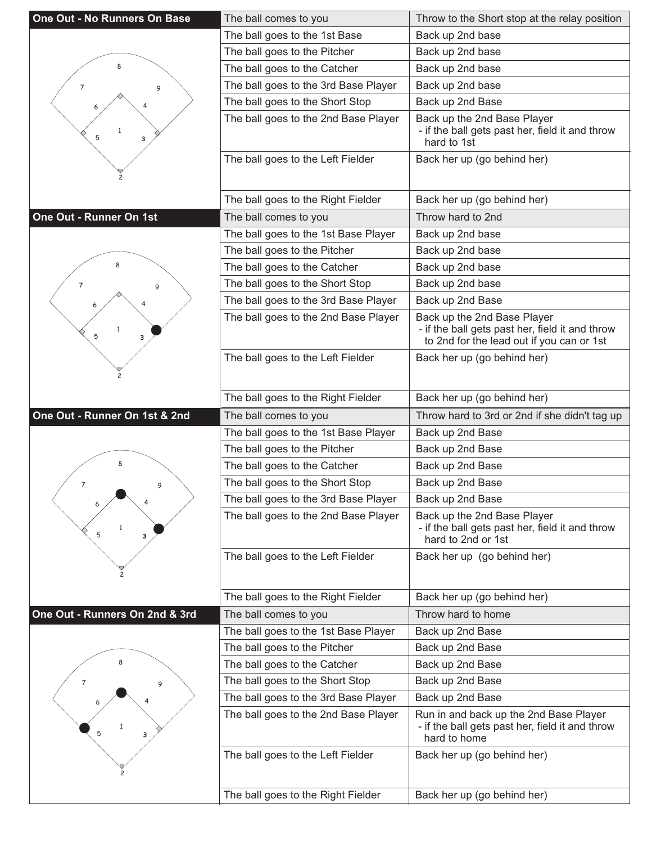| <b>One Out - No Runners On Base</b> | The ball comes to you                | Throw to the Short stop at the relay position                                                                               |
|-------------------------------------|--------------------------------------|-----------------------------------------------------------------------------------------------------------------------------|
|                                     | The ball goes to the 1st Base        | Back up 2nd base                                                                                                            |
|                                     | The ball goes to the Pitcher         | Back up 2nd base                                                                                                            |
| 8                                   | The ball goes to the Catcher         | Back up 2nd base                                                                                                            |
| 7<br>9                              | The ball goes to the 3rd Base Player | Back up 2nd base                                                                                                            |
|                                     | The ball goes to the Short Stop      | Back up 2nd Base                                                                                                            |
| 1<br>5<br>3                         | The ball goes to the 2nd Base Player | Back up the 2nd Base Player<br>- if the ball gets past her, field it and throw<br>hard to 1st                               |
|                                     | The ball goes to the Left Fielder    | Back her up (go behind her)                                                                                                 |
|                                     | The ball goes to the Right Fielder   | Back her up (go behind her)                                                                                                 |
| One Out - Runner On 1st             | The ball comes to you                | Throw hard to 2nd                                                                                                           |
|                                     | The ball goes to the 1st Base Player | Back up 2nd base                                                                                                            |
|                                     | The ball goes to the Pitcher         | Back up 2nd base                                                                                                            |
|                                     | The ball goes to the Catcher         | Back up 2nd base                                                                                                            |
| 7<br>9                              | The ball goes to the Short Stop      | Back up 2nd base                                                                                                            |
|                                     | The ball goes to the 3rd Base Player | Back up 2nd Base                                                                                                            |
| 1<br>5<br>3                         | The ball goes to the 2nd Base Player | Back up the 2nd Base Player<br>- if the ball gets past her, field it and throw<br>to 2nd for the lead out if you can or 1st |
|                                     | The ball goes to the Left Fielder    | Back her up (go behind her)                                                                                                 |
|                                     | The ball goes to the Right Fielder   | Back her up (go behind her)                                                                                                 |
|                                     |                                      |                                                                                                                             |
| One Out - Runner On 1st & 2nd       | The ball comes to you                | Throw hard to 3rd or 2nd if she didn't tag up                                                                               |
|                                     | The ball goes to the 1st Base Player | Back up 2nd Base                                                                                                            |
|                                     | The ball goes to the Pitcher         | Back up 2nd Base                                                                                                            |
| 8                                   | The ball goes to the Catcher         | Back up 2nd Base                                                                                                            |
| 7<br>9                              | The ball goes to the Short Stop      | Back up 2nd Base                                                                                                            |
|                                     | The ball goes to the 3rd Base Player | Back up 2nd Base                                                                                                            |
| $\mathbf{1}$<br>5<br>3              | The ball goes to the 2nd Base Player | Back up the 2nd Base Player<br>- if the ball gets past her, field it and throw<br>hard to 2nd or 1st                        |
|                                     | The ball goes to the Left Fielder    | Back her up (go behind her)                                                                                                 |
|                                     | The ball goes to the Right Fielder   | Back her up (go behind her)                                                                                                 |
| One Out - Runners On 2nd & 3rd      | The ball comes to you                | Throw hard to home                                                                                                          |
|                                     | The ball goes to the 1st Base Player | Back up 2nd Base                                                                                                            |
|                                     | The ball goes to the Pitcher         | Back up 2nd Base                                                                                                            |
| 8                                   | The ball goes to the Catcher         | Back up 2nd Base                                                                                                            |
| 7<br>9                              | The ball goes to the Short Stop      | Back up 2nd Base                                                                                                            |
|                                     | The ball goes to the 3rd Base Player | Back up 2nd Base                                                                                                            |
| 3                                   | The ball goes to the 2nd Base Player | Run in and back up the 2nd Base Player<br>- if the ball gets past her, field it and throw<br>hard to home                   |
|                                     | The ball goes to the Left Fielder    | Back her up (go behind her)                                                                                                 |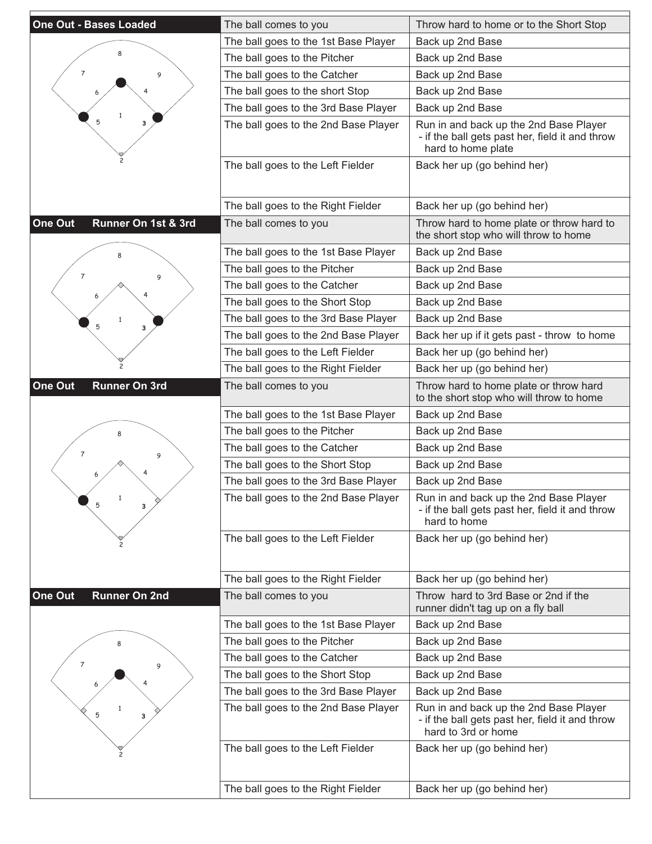| <b>One Out - Bases Loaded</b>   | The ball comes to you                | Throw hard to home or to the Short Stop                                                                          |
|---------------------------------|--------------------------------------|------------------------------------------------------------------------------------------------------------------|
|                                 | The ball goes to the 1st Base Player | Back up 2nd Base                                                                                                 |
|                                 | The ball goes to the Pitcher         | Back up 2nd Base                                                                                                 |
| 7<br>9                          | The ball goes to the Catcher         | Back up 2nd Base                                                                                                 |
|                                 | The ball goes to the short Stop      | Back up 2nd Base                                                                                                 |
|                                 | The ball goes to the 3rd Base Player | Back up 2nd Base                                                                                                 |
| 5<br>3                          | The ball goes to the 2nd Base Player | Run in and back up the 2nd Base Player<br>- if the ball gets past her, field it and throw<br>hard to home plate  |
|                                 | The ball goes to the Left Fielder    | Back her up (go behind her)                                                                                      |
|                                 | The ball goes to the Right Fielder   | Back her up (go behind her)                                                                                      |
| One Out<br>Runner On 1st & 3rd  | The ball comes to you                | Throw hard to home plate or throw hard to<br>the short stop who will throw to home                               |
|                                 | The ball goes to the 1st Base Player | Back up 2nd Base                                                                                                 |
| $\overline{7}$                  | The ball goes to the Pitcher         | Back up 2nd Base                                                                                                 |
| 9                               | The ball goes to the Catcher         | Back up 2nd Base                                                                                                 |
|                                 | The ball goes to the Short Stop      | Back up 2nd Base                                                                                                 |
| 1                               | The ball goes to the 3rd Base Player | Back up 2nd Base                                                                                                 |
| 5<br>3                          | The ball goes to the 2nd Base Player | Back her up if it gets past - throw to home                                                                      |
|                                 | The ball goes to the Left Fielder    | Back her up (go behind her)                                                                                      |
|                                 | The ball goes to the Right Fielder   | Back her up (go behind her)                                                                                      |
| Runner On 3rd<br>One Out        | The ball comes to you                | Throw hard to home plate or throw hard<br>to the short stop who will throw to home                               |
|                                 | The ball goes to the 1st Base Player | Back up 2nd Base                                                                                                 |
|                                 | The ball goes to the Pitcher         | Back up 2nd Base                                                                                                 |
| 7<br>9                          | The ball goes to the Catcher         | Back up 2nd Base                                                                                                 |
|                                 | The ball goes to the Short Stop      | Back up 2nd Base                                                                                                 |
|                                 | The ball goes to the 3rd Base Player | Back up 2nd Base                                                                                                 |
| $\mathbf{1}$<br>5<br>3          | The ball goes to the 2nd Base Player | Run in and back up the 2nd Base Player<br>- if the ball gets past her, field it and throw<br>hard to home        |
|                                 | The ball goes to the Left Fielder    | Back her up (go behind her)                                                                                      |
|                                 | The ball goes to the Right Fielder   | Back her up (go behind her)                                                                                      |
| One Out<br><b>Runner On 2nd</b> | The ball comes to you                | Throw hard to 3rd Base or 2nd if the<br>runner didn't tag up on a fly ball                                       |
|                                 | The ball goes to the 1st Base Player | Back up 2nd Base                                                                                                 |
|                                 | The ball goes to the Pitcher         | Back up 2nd Base                                                                                                 |
| $\overline{7}$<br>9             | The ball goes to the Catcher         | Back up 2nd Base                                                                                                 |
|                                 | The ball goes to the Short Stop      | Back up 2nd Base                                                                                                 |
|                                 | The ball goes to the 3rd Base Player | Back up 2nd Base                                                                                                 |
| 5<br>з                          | The ball goes to the 2nd Base Player | Run in and back up the 2nd Base Player<br>- if the ball gets past her, field it and throw<br>hard to 3rd or home |
|                                 | The ball goes to the Left Fielder    | Back her up (go behind her)                                                                                      |
|                                 | The ball goes to the Right Fielder   | Back her up (go behind her)                                                                                      |
|                                 |                                      |                                                                                                                  |

E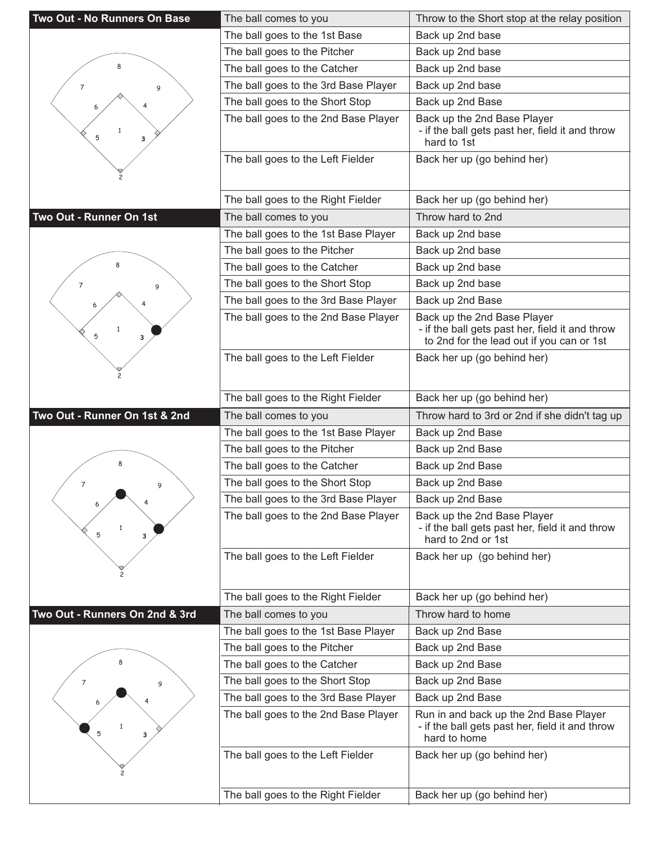| Two Out - No Runners On Base   | The ball comes to you                                                   | Throw to the Short stop at the relay position                                                                               |
|--------------------------------|-------------------------------------------------------------------------|-----------------------------------------------------------------------------------------------------------------------------|
|                                | The ball goes to the 1st Base                                           | Back up 2nd base                                                                                                            |
|                                | The ball goes to the Pitcher                                            | Back up 2nd base                                                                                                            |
| ጸ                              | The ball goes to the Catcher                                            | Back up 2nd base                                                                                                            |
| 7<br>9                         | The ball goes to the 3rd Base Player                                    | Back up 2nd base                                                                                                            |
|                                | The ball goes to the Short Stop                                         | Back up 2nd Base                                                                                                            |
| $\mathbf{1}$<br>5<br>3         | The ball goes to the 2nd Base Player                                    | Back up the 2nd Base Player<br>- if the ball gets past her, field it and throw<br>hard to 1st                               |
|                                | The ball goes to the Left Fielder                                       | Back her up (go behind her)                                                                                                 |
|                                | The ball goes to the Right Fielder                                      | Back her up (go behind her)                                                                                                 |
| Two Out - Runner On 1st        | The ball comes to you                                                   | Throw hard to 2nd                                                                                                           |
|                                | The ball goes to the 1st Base Player                                    | Back up 2nd base                                                                                                            |
|                                | The ball goes to the Pitcher                                            | Back up 2nd base                                                                                                            |
|                                | The ball goes to the Catcher                                            | Back up 2nd base                                                                                                            |
| 7<br>9                         | The ball goes to the Short Stop                                         | Back up 2nd base                                                                                                            |
|                                | The ball goes to the 3rd Base Player                                    | Back up 2nd Base                                                                                                            |
| $\mathbf{1}$<br>5<br>3         | The ball goes to the 2nd Base Player                                    | Back up the 2nd Base Player<br>- if the ball gets past her, field it and throw<br>to 2nd for the lead out if you can or 1st |
|                                | The ball goes to the Left Fielder                                       | Back her up (go behind her)                                                                                                 |
|                                | The ball goes to the Right Fielder                                      | Back her up (go behind her)                                                                                                 |
|                                |                                                                         |                                                                                                                             |
| Two Out - Runner On 1st & 2nd  | The ball comes to you                                                   | Throw hard to 3rd or 2nd if she didn't tag up                                                                               |
|                                | The ball goes to the 1st Base Player                                    | Back up 2nd Base                                                                                                            |
|                                | The ball goes to the Pitcher                                            | Back up 2nd Base                                                                                                            |
| 8                              | The ball goes to the Catcher                                            | Back up 2nd Base                                                                                                            |
| $\overline{7}$<br>9            | The ball goes to the Short Stop                                         | Back up 2nd Base                                                                                                            |
|                                | The ball goes to the 3rd Base Player                                    | Back up 2nd Base                                                                                                            |
| 5<br>3                         | The ball goes to the 2nd Base Player                                    | Back up the 2nd Base Player<br>- if the ball gets past her, field it and throw<br>hard to 2nd or 1st                        |
|                                | The ball goes to the Left Fielder                                       | Back her up (go behind her)                                                                                                 |
|                                | The ball goes to the Right Fielder                                      | Back her up (go behind her)                                                                                                 |
| Two Out - Runners On 2nd & 3rd | The ball comes to you                                                   | Throw hard to home                                                                                                          |
|                                | The ball goes to the 1st Base Player                                    | Back up 2nd Base                                                                                                            |
|                                | The ball goes to the Pitcher                                            | Back up 2nd Base                                                                                                            |
|                                | The ball goes to the Catcher                                            | Back up 2nd Base                                                                                                            |
| 7<br>9                         | The ball goes to the Short Stop                                         | Back up 2nd Base                                                                                                            |
|                                | The ball goes to the 3rd Base Player                                    | Back up 2nd Base                                                                                                            |
| 5<br>3                         | The ball goes to the 2nd Base Player                                    | Run in and back up the 2nd Base Player<br>- if the ball gets past her, field it and throw<br>hard to home                   |
|                                | The ball goes to the Left Fielder<br>The ball goes to the Right Fielder | Back her up (go behind her)<br>Back her up (go behind her)                                                                  |